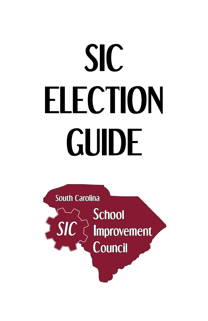# **SIC ELECTION GUIDE**

**South Carolina** School  $\left\{ \begin{array}{c}\n SIC \\
\end{array} \right\}$  Improvement Council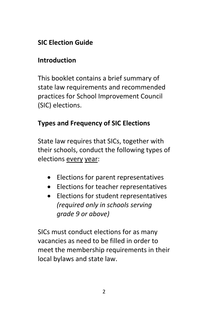## **SIC Election Guide**

#### **Introduction**

This booklet contains a brief summary of state law requirements and recommended practices for School Improvement Council (SIC) elections.

## **Types and Frequency of SIC Elections**

State law requires that SICs, together with their schools, conduct the following types of elections every year:

- Elections for parent representatives
- Elections for teacher representatives
- Elections for student representatives *(required only in schools serving grade 9 or above)*

SICs must conduct elections for as many vacancies as need to be filled in order to meet the membership requirements in their local bylaws and state law.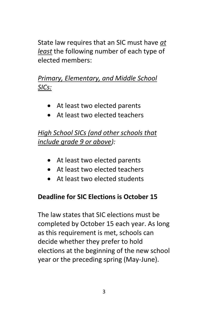State law requires that an SIC must have *at least* the following number of each type of elected members:

# *Primary, Elementary, and Middle School SICs:*

- At least two elected parents
- At least two elected teachers

# *High School SICs (and other schools that include grade 9 or above):*

- At least two elected parents
- At least two elected teachers
- At least two elected students

## **Deadline for SIC Elections is October 15**

The law states that SIC elections must be completed by October 15 each year. As long as this requirement is met, schools can decide whether they prefer to hold elections at the beginning of the new school year or the preceding spring (May-June).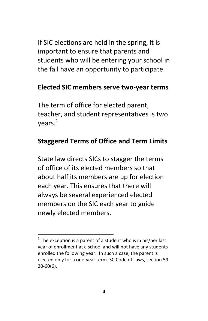If SIC elections are held in the spring, it is important to ensure that parents and students who will be entering your school in the fall have an opportunity to participate.

#### **Elected SIC members serve two-year terms**

The term of office for elected parent, teacher, and student representatives is two  $years<sup>1</sup>$ 

#### **Staggered Terms of Office and Term Limits**

State law directs SICs to stagger the terms of office of its elected members so that about half its members are up for election each year. This ensures that there will always be several experienced elected members on the SIC each year to guide newly elected members.

 $\overline{\phantom{a}}$ 

 $1$  The exception is a parent of a student who is in his/her last year of enrollment at a school and will not have any students enrolled the following year. In such a case, the parent is elected only for a one-year term. SC Code of Laws, section 59- 20-60(6).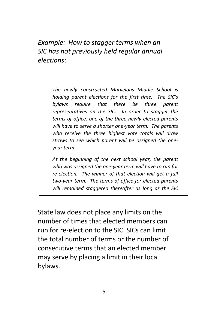*Example: How to stagger terms when an SIC has not previously held regular annual elections*:

> *The newly constructed Marvelous Middle School is holding parent elections for the first time. The SIC's bylaws require that there be three parent representatives on the SIC. In order to stagger the terms of office, one of the three newly elected parents will have to serve a shorter one-year term. The parents who receive the three highest vote totals will draw straws to see which parent will be assigned the oneyear term.*

> *At the beginning of the next school year, the parent who was assigned the one-year term will have to run for re-election. The winner of that election will get a full two-year term. The terms of office for elected parents will remained staggered thereafter as long as the SIC*

State law does not place any limits on the number of times that elected members can run for re-election to the SIC. SICs can limit the total number of terms or the number of consecutive terms that an elected member may serve by placing a limit in their local bylaws.

*continues to hold elections every year.*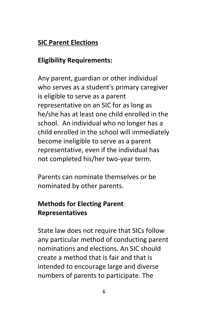#### **SIC Parent Elections**

#### **Eligibility Requirements:**

Any parent, guardian or other individual who serves as a student's primary caregiver is eligible to serve as a parent representative on an SIC for as long as he/she has at least one child enrolled in the school. An individual who no longer has a child enrolled in the school will immediately become ineligible to serve as a parent representative, even if the individual has not completed his/her two-year term.

Parents can nominate themselves or be nominated by other parents.

# **Methods for Electing Parent Representatives**

State law does not require that SICs follow any particular method of conducting parent nominations and elections. An SIC should create a method that is fair and that is intended to encourage large and diverse numbers of parents to participate. The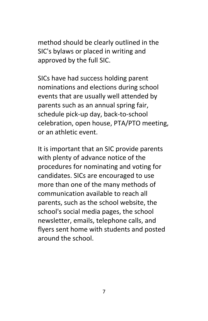method should be clearly outlined in the SIC's bylaws or placed in writing and approved by the full SIC.

SICs have had success holding parent nominations and elections during school events that are usually well attended by parents such as an annual spring fair, schedule pick-up day, back-to-school celebration, open house, PTA/PTO meeting, or an athletic event.

It is important that an SIC provide parents with plenty of advance notice of the procedures for nominating and voting for candidates. SICs are encouraged to use more than one of the many methods of communication available to reach all parents, such as the school website, the school's social media pages, the school newsletter, emails, telephone calls, and flyers sent home with students and posted around the school.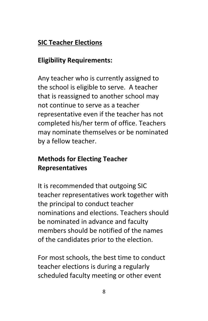## **SIC Teacher Elections**

## **Eligibility Requirements:**

Any teacher who is currently assigned to the school is eligible to serve. A teacher that is reassigned to another school may not continue to serve as a teacher representative even if the teacher has not completed his/her term of office. Teachers may nominate themselves or be nominated by a fellow teacher.

# **Methods for Electing Teacher Representatives**

It is recommended that outgoing SIC teacher representatives work together with the principal to conduct teacher nominations and elections. Teachers should be nominated in advance and faculty members should be notified of the names of the candidates prior to the election.

For most schools, the best time to conduct teacher elections is during a regularly scheduled faculty meeting or other event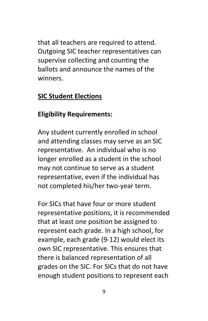that all teachers are required to attend. Outgoing SIC teacher representatives can supervise collecting and counting the ballots and announce the names of the winners.

#### **SIC Student Elections**

#### **Eligibility Requirements:**

Any student currently enrolled in school and attending classes may serve as an SIC representative. An individual who is no longer enrolled as a student in the school may not continue to serve as a student representative, even if the individual has not completed his/her two-year term.

For SICs that have four or more student representative positions, it is recommended that at least one position be assigned to represent each grade. In a high school, for example, each grade (9-12) would elect its own SIC representative. This ensures that there is balanced representation of all grades on the SIC. For SICs that do not have enough student positions to represent each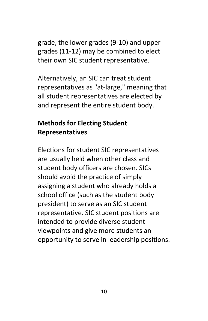grade, the lower grades (9-10) and upper grades (11-12) may be combined to elect their own SIC student representative.

Alternatively, an SIC can treat student representatives as "at-large," meaning that all student representatives are elected by and represent the entire student body.

#### **Methods for Electing Student Representatives**

Elections for student SIC representatives are usually held when other class and student body officers are chosen. SICs should avoid the practice of simply assigning a student who already holds a school office (such as the student body president) to serve as an SIC student representative. SIC student positions are intended to provide diverse student viewpoints and give more students an opportunity to serve in leadership positions.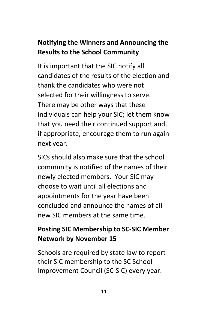# **Notifying the Winners and Announcing the Results to the School Community**

It is important that the SIC notify all candidates of the results of the election and thank the candidates who were not selected for their willingness to serve. There may be other ways that these individuals can help your SIC; let them know that you need their continued support and, if appropriate, encourage them to run again next year.

SICs should also make sure that the school community is notified of the names of their newly elected members. Your SIC may choose to wait until all elections and appointments for the year have been concluded and announce the names of all new SIC members at the same time.

# **Posting SIC Membership to SC-SIC Member Network by November 15**

Schools are required by state law to report their SIC membership to the SC School Improvement Council (SC-SIC) every year.